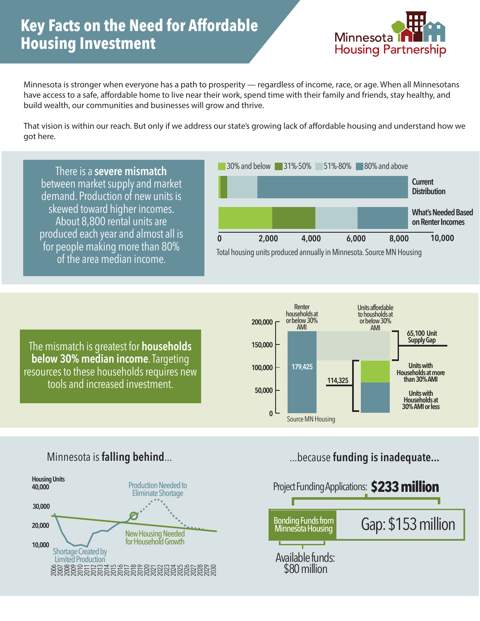## **Key Facts on the Need for Affordable Housing Investment**



Minnesota is stronger when everyone has a path to prosperity — regardless of income, race, or age. When all Minnesotans have access to a safe, affordable home to live near their work, spend time with their family and friends, stay healthy, and build wealth, our communities and businesses will grow and thrive.

That vision is within our reach. But only if we address our state's growing lack of affordable housing and understand how we got here.

There is a **severe mismatch** between market supply and market demand. Production of new units is skewed toward higher incomes. About 8,800 rental units are produced each year and almost all is for people making more than 80% of the area median income.



The mismatch is greatest for **households below 30% median income**. Targeting resources to these households requires new tools and increased investment.





### Minnesota is **falling behind**... **and the same of the set of the set of the set of the set of the set of the set of the set of the set of the set of the set of the set of the set of the set of the set of the set of the set**